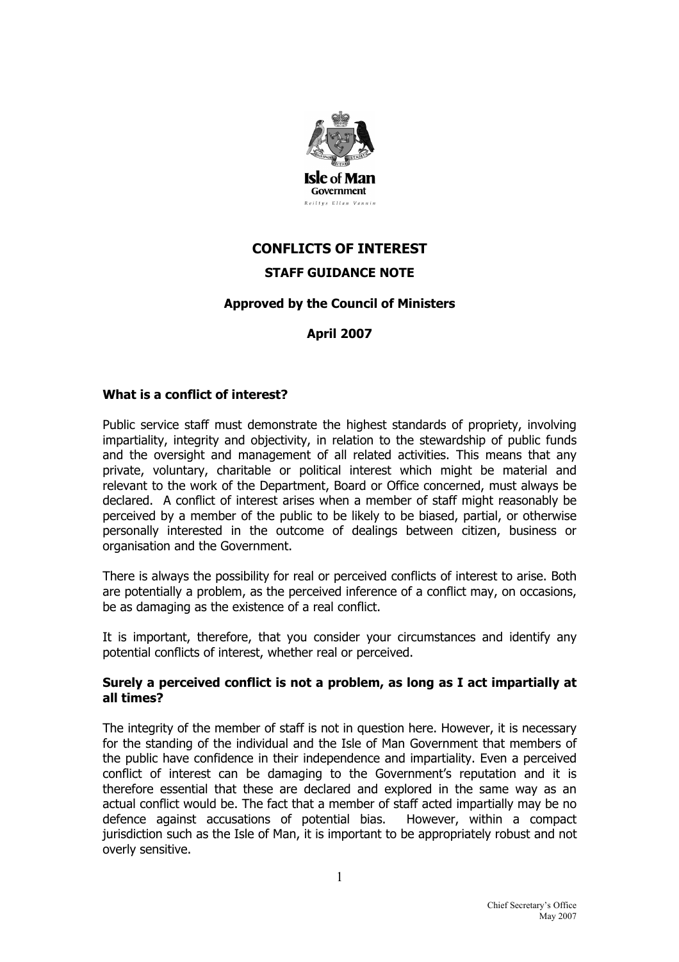

# **CONFLICTS OF INTEREST STAFF GUIDANCE NOTE**

# **Approved by the Council of Ministers**

# **April 2007**

#### **What is a conflict of interest?**

Public service staff must demonstrate the highest standards of propriety, involving impartiality, integrity and objectivity, in relation to the stewardship of public funds and the oversight and management of all related activities. This means that any private, voluntary, charitable or political interest which might be material and relevant to the work of the Department, Board or Office concerned, must always be declared. A conflict of interest arises when a member of staff might reasonably be perceived by a member of the public to be likely to be biased, partial, or otherwise personally interested in the outcome of dealings between citizen, business or organisation and the Government.

There is always the possibility for real or perceived conflicts of interest to arise. Both are potentially a problem, as the perceived inference of a conflict may, on occasions, be as damaging as the existence of a real conflict.

It is important, therefore, that you consider your circumstances and identify any potential conflicts of interest, whether real or perceived.

#### **Surely a perceived conflict is not a problem, as long as I act impartially at all times?**

The integrity of the member of staff is not in question here. However, it is necessary for the standing of the individual and the Isle of Man Government that members of the public have confidence in their independence and impartiality. Even a perceived conflict of interest can be damaging to the Government's reputation and it is therefore essential that these are declared and explored in the same way as an actual conflict would be. The fact that a member of staff acted impartially may be no defence against accusations of potential bias. However, within a compact jurisdiction such as the Isle of Man, it is important to be appropriately robust and not overly sensitive.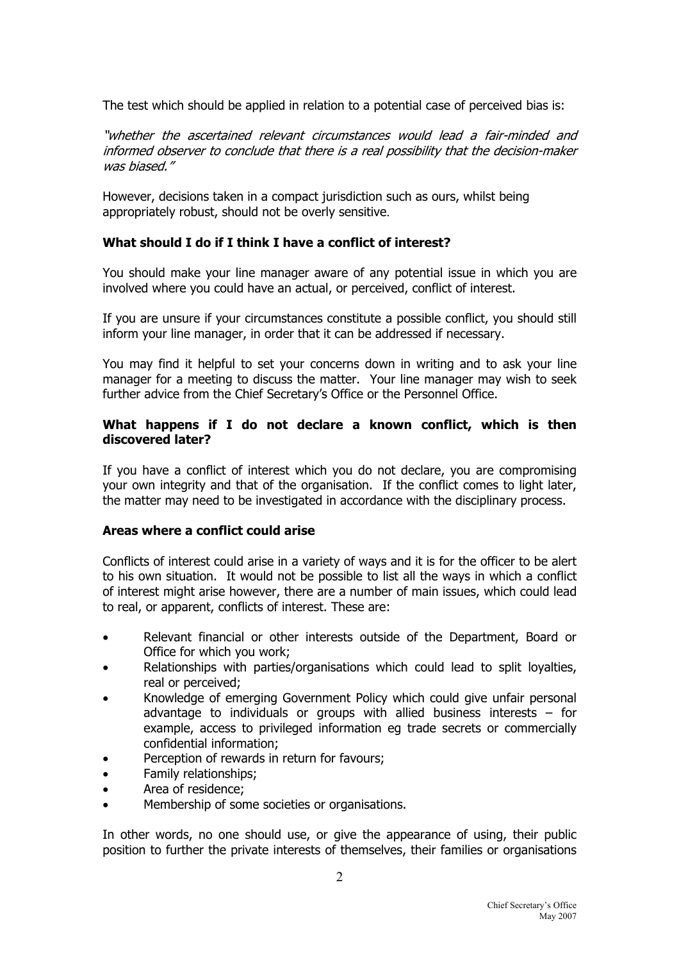The test which should be applied in relation to a potential case of perceived bias is:

"whether the ascertained relevant circumstances would lead a fair-minded and informed observer to conclude that there is a real possibility that the decision-maker was biased."

However, decisions taken in a compact jurisdiction such as ours, whilst being appropriately robust, should not be overly sensitive.

## **What should I do if I think I have a conflict of interest?**

You should make your line manager aware of any potential issue in which you are involved where you could have an actual, or perceived, conflict of interest.

If you are unsure if your circumstances constitute a possible conflict, you should still inform your line manager, in order that it can be addressed if necessary.

You may find it helpful to set your concerns down in writing and to ask your line manager for a meeting to discuss the matter. Your line manager may wish to seek further advice from the Chief Secretary's Office or the Personnel Office.

## **What happens if I do not declare a known conflict, which is then discovered later?**

If you have a conflict of interest which you do not declare, you are compromising your own integrity and that of the organisation. If the conflict comes to light later, the matter may need to be investigated in accordance with the disciplinary process.

#### **Areas where a conflict could arise**

Conflicts of interest could arise in a variety of ways and it is for the officer to be alert to his own situation. It would not be possible to list all the ways in which a conflict of interest might arise however, there are a number of main issues, which could lead to real, or apparent, conflicts of interest. These are:

- Relevant financial or other interests outside of the Department, Board or Office for which you work;
- Relationships with parties/organisations which could lead to split lovalties, real or perceived;
- Knowledge of emerging Government Policy which could give unfair personal advantage to individuals or groups with allied business interests  $-$  for example, access to privileged information eg trade secrets or commercially confidential information;
- Perception of rewards in return for favours;
- Family relationships;
- Area of residence;
- Membership of some societies or organisations.

In other words, no one should use, or give the appearance of using, their public position to further the private interests of themselves, their families or organisations